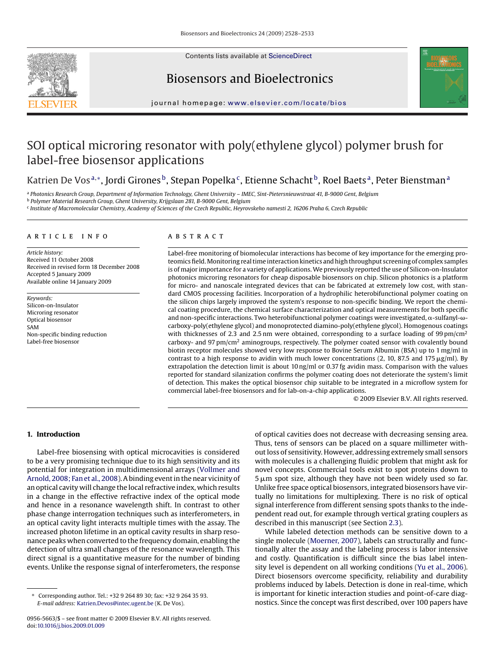

Contents lists available at [ScienceDirect](http://www.sciencedirect.com/science/journal/09565663)

# Biosensors and Bioelectronics



journal homepage: [www.elsevier.com/locate/bios](http://www.elsevier.com/locate/bios)

# SOI optical microring resonator with poly(ethylene glycol) polymer brush for label-free biosensor applications

# Katrien De Vos<sup>a,∗</sup>, Jordi Girones<sup>b</sup>, Stepan Popelka<sup>c</sup>, Etienne Schacht<sup>b</sup>, Roel Baets<sup>a</sup>, Peter Bienstman<sup>a</sup>

<sup>a</sup> *Photonics Research Group, Department of Information Technology, Ghent University – IMEC, Sint-Pietersnieuwstraat 41, B-9000 Gent, Belgium*

<sup>b</sup> *Polymer Material Research Group, Ghent University, Krijgslaan 281, B-9000 Gent, Belgium*

<sup>c</sup> *Institute of Macromolecular Chemistry, Academy of Sciences of the Czech Republic, Heyrovskeho namesti 2, 16206 Praha 6, Czech Republic*

#### article info

*Article history:* Received 11 October 2008 Received in revised form 18 December 2008 Accepted 5 January 2009 Available online 14 January 2009

*Keywords:* Silicon-on-Insulator Microring resonator Optical biosensor SAM Non-specific binding reduction Label-free biosensor

#### ABSTRACT

Label-free monitoring of biomolecular interactions has become of key importance for the emerging proteomics field.Monitoring real time interaction kinetics and high throughput screening of complex samples is of major importance for a variety of applications. We previously reported the use of Silicon-on-Insulator photonics microring resonators for cheap disposable biosensors on chip. Silicon photonics is a platform for micro- and nanoscale integrated devices that can be fabricated at extremely low cost, with standard CMOS processing facilities. Incorporation of a hydrophilic heterobifunctional polymer coating on the silicon chips largely improved the system's response to non-specific binding. We report the chemical coating procedure, the chemical surface characterization and optical measurements for both specific and non-specific interactions. Two heterobifunctional polymer coatings were investigated,  $\alpha$ -sulfanyl- $\omega$ carboxy-poly(ethylene glycol) and monoprotected diamino-poly(ethylene glycol). Homogenous coatings with thicknesses of 2.3 and 2.5 nm were obtained, corresponding to a surface loading of 99 pm/cm<sup>2</sup> carboxy- and 97  $pm/cm<sup>2</sup>$  aminogroups, respectively. The polymer coated sensor with covalently bound biotin receptor molecules showed very low response to Bovine Serum Albumin (BSA) up to 1 mg/ml in contrast to a high response to avidin with much lower concentrations (2, 10, 87.5 and 175  $\mu$ g/ml). By extrapolation the detection limit is about 10 ng/ml or 0.37 fg avidin mass. Comparison with the values reported for standard silanization confirms the polymer coating does not deteriorate the system's limit of detection. This makes the optical biosensor chip suitable to be integrated in a microflow system for commercial label-free biosensors and for lab-on-a-chip applications.

© 2009 Elsevier B.V. All rights reserved.

## **1. Introduction**

Label-free biosensing with optical microcavities is considered to be a very promising technique due to its high sensitivity and its potential for integration in multidimensional arrays [\(Vollmer and](#page-5-0) [Arnold, 2008; Fan et al., 2008\).](#page-5-0) A binding event in the near vicinity of an optical cavity will change the local refractive index, which results in a change in the effective refractive index of the optical mode and hence in a resonance wavelength shift. In contrast to other phase change interrogation techniques such as interferometers, in an optical cavity light interacts multiple times with the assay. The increased photon lifetime in an optical cavity results in sharp resonance peaks when converted to the frequency domain, enabling the detection of ultra small changes of the resonance wavelength. This direct signal is a quantitative measure for the number of binding events. Unlike the response signal of interferometers, the response

of optical cavities does not decrease with decreasing sensing area. Thus, tens of sensors can be placed on a square millimeter without loss of sensitivity. However, addressing extremely small sensors with molecules is a challenging fluidic problem that might ask for novel concepts. Commercial tools exist to spot proteins down to  $5 \mu m$  spot size, although they have not been widely used so far. Unlike free space optical biosensors, integrated biosensors have virtually no limitations for multiplexing. There is no risk of optical signal interference from different sensing spots thanks to the independent read out, for example through vertical grating couplers as described in this manuscript (see Section [2.3\).](#page-2-0)

While labeled detection methods can be sensitive down to a single molecule ([Moerner, 2007\),](#page-5-0) labels can structurally and functionally alter the assay and the labeling process is labor intensive and costly*.* Quantification is difficult since the bias label intensity level is dependent on all working conditions [\(Yu et al., 2006\).](#page-5-0) Direct biosensors overcome specificity, reliability and durability problems induced by labels. Detection is done in real-time, which is important for kinetic interaction studies and point-of-care diagnostics. Since the concept was first described, over 100 papers have

<sup>∗</sup> Corresponding author. Tel.: +32 9 264 89 30; fax: +32 9 264 35 93. *E-mail address:* [Katrien.Devos@intec.ugent.be](mailto:Katrien.Devos@intec.ugent.be) (K. De Vos).

<sup>0956-5663/\$ –</sup> see front matter © 2009 Elsevier B.V. All rights reserved. doi:[10.1016/j.bios.2009.01.009](dx.doi.org/10.1016/j.bios.2009.01.009)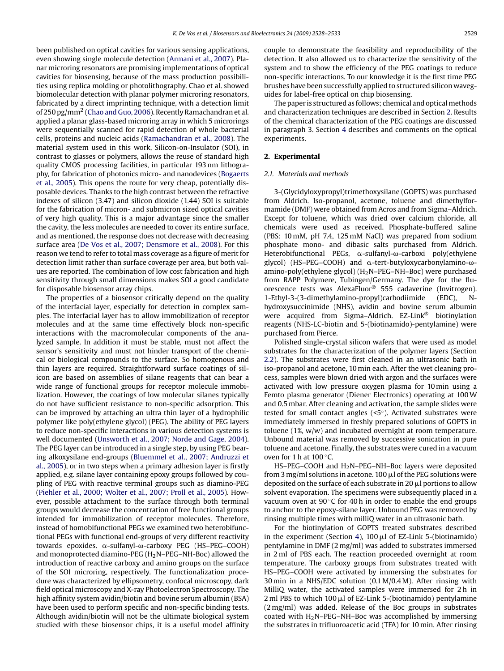been published on optical cavities for various sensing applications, even showing single molecule detection [\(Armani et al., 2007\).](#page-5-0) Planar microring resonators are promising implementations of optical cavities for biosensing, because of the mass production possibilities using replica molding or photolithography. Chao et al. showed biomolecular detection with planar polymer microring resonators, fabricated by a direct imprinting technique, with a detection limit of 250 pg/mm2 ([Chao and Guo, 2006\).](#page-5-0) Recently Ramachandran et al. applied a planar glass-based microring array in which 5 microrings were sequentially scanned for rapid detection of whole bacterial cells, proteins and nucleic acids [\(Ramachandran et al., 2008\).](#page-5-0) The material system used in this work, Silicon-on-Insulator (SOI), in contrast to glasses or polymers, allows the reuse of standard high quality CMOS processing facilities, in particular 193 nm lithography, for fabrication of photonics micro- and nanodevices [\(Bogaerts](#page-5-0) [et al., 2005\).](#page-5-0) This opens the route for very cheap, potentially disposable devices. Thanks to the high contrast between the refractive indexes of silicon (3.47) and silicon dioxide (1.44) SOI is suitable for the fabrication of micron- and submicron sized optical cavities of very high quality. This is a major advantage since the smaller the cavity, the less molecules are needed to cover its entire surface, and as mentioned, the response does not decrease with decreasing surface area ([De Vos et al., 2007; Densmore et al., 2008\).](#page-5-0) For this reason we tend to refer to total mass coverage as a figure of merit for detection limit rather than surface coverage per area, but both values are reported. The combination of low cost fabrication and high sensitivity through small dimensions makes SOI a good candidate for disposable biosensor array chips.

The properties of a biosensor critically depend on the quality of the interfacial layer, especially for detection in complex samples. The interfacial layer has to allow immobilization of receptor molecules and at the same time effectively block non-specific interactions with the macromolecular components of the analyzed sample. In addition it must be stable, must not affect the sensor's sensitivity and must not hinder transport of the chemical or biological compounds to the surface. So homogenous and thin layers are required. Straightforward surface coatings of silicon are based on assemblies of silane reagents that can bear a wide range of functional groups for receptor molecule immobilization. However, the coatings of low molecular silanes typically do not have sufficient resistance to non-specific adsorption. This can be improved by attaching an ultra thin layer of a hydrophilic polymer like poly(ethylene glycol) (PEG). The ability of PEG layers to reduce non-specific interactions in various detection systems is well documented [\(Unsworth et al., 2007; Norde and Gage, 2004\).](#page-5-0) The PEG layer can be introduced in a single step, by using PEG bearing alkoxysilane end-groups ([Bluemmel et al., 2007; Andruzzi et](#page-5-0) [al., 2005\),](#page-5-0) or in two steps when a primary adhesion layer is firstly applied, e.g. silane layer containing epoxy groups followed by coupling of PEG with reactive terminal groups such as diamino-PEG ([Piehler et al., 2000; Wolter et al., 2007; Proll et al., 2005\).](#page-5-0) However, possible attachment to the surface through both terminal groups would decrease the concentration of free functional groups intended for immobilization of receptor molecules. Therefore, instead of homobifunctional PEGs we examined two heterobifunctional PEGs with functional end-groups of very different reactivity towards epoxides. α-sulfanyl-ω-carboxy PEG (HS–PEG–COOH) and monoprotected diamino-PEG  $(H<sub>2</sub>N-PEG-NH- Boc)$  allowed the introduction of reactive carboxy and amino groups on the surface of the SOI microring, respectively. The functionalization procedure was characterized by ellipsometry, confocal microscopy, dark field optical microscopy and X-ray Photoelectron Spectroscopy. The high affinity system avidin/biotin and bovine serum albumin (BSA) have been used to perform specific and non-specific binding tests. Although avidin/biotin will not be the ultimate biological system studied with these biosensor chips, it is a useful model affinity couple to demonstrate the feasibility and reproducibility of the detection. It also allowed us to characterize the sensitivity of the system and to show the efficiency of the PEG coatings to reduce non-specific interactions. To our knowledge it is the first time PEG brushes have been successfully applied to structured silicon waveguides for label-free optical on chip biosensing.

The paper is structured as follows; chemical and optical methods and characterization techniques are described in Section 2. Results of the chemical characterization of the PEG coatings are discussed in paragraph 3. Section [4](#page-4-0) describes and comments on the optical experiments.

#### **2. Experimental**

#### *2.1. Materials and methods*

3-(Glycidyloxypropyl)trimethoxysilane (GOPTS) was purchased from Aldrich. Iso-propanol, acetone, toluene and dimethylformamide (DMF) were obtained from Acros and from Sigma–Aldrich. Except for toluene, which was dried over calcium chloride, all chemicals were used as received. Phosphate-buffered saline (PBS: 10 mM, pH 7.4, 125 mM NaCl) was prepared from sodium phosphate mono- and dibasic salts purchased from Aldrich.  $Heterobifunctional$  PEGs,  $\alpha$ -sulfanyl- $\omega$ -carboxi poly(ethylene glycol) (HS–PEG–COOH) and  $\alpha$ -tert-butyloxycarbonylamino- $\omega$ amino-poly(ethylene glycol) (H2N–PEG–NH–Boc) were purchased from RAPP Polymere, Tubingen/Germany. The dye for the fluorescence tests was AlexaFluor® 555 cadaverine (Invitrogen). 1-Ethyl-3-(3-dimethylamino-propyl)carbodiimide (EDC), Nhydroxysuccinimide (NHS), avidin and bovine serum albumin were acquired from Sigma-Aldrich. EZ-Link® biotinylation reagents (NHS-LC-biotin and 5-(biotinamido)-pentylamine) were purchased from Pierce.

Polished single-crystal silicon wafers that were used as model substrates for the characterization of the polymer layers (Section [2.2\).](#page-2-0) The substrates were first cleaned in an ultrasonic bath in iso-propanol and acetone, 10 min each. After the wet cleaning process, samples were blown dried with argon and the surfaces were activated with low pressure oxygen plasma for 10 min using a Femto plasma generator (Diener Electronics) operating at 100W and 0.5 mbar. After cleaning and activation, the sample slides were tested for small contact angles (<5◦). Activated substrates were immediately immersed in freshly prepared solutions of GOPTS in toluene (1%, w/w) and incubated overnight at room temperature. Unbound material was removed by successive sonication in pure toluene and acetone. Finally, the substrates were cured in a vacuum oven for 1 h at 100 $^{\circ}$ C.

HS-PEG-COOH and H<sub>2</sub>N-PEG-NH-Boc layers were deposited from 3 mg/ml solutions in acetone. 100  $\mu$ l of the PEG solutions were deposited on the surface of each substrate in 20  $\mu$ l portions to allow solvent evaporation. The specimens were subsequently placed in a vacuum oven at  $90^{\circ}$ C for 40 h in order to enable the end groups to anchor to the epoxy-silane layer. Unbound PEG was removed by rinsing multiple times with milliQ water in an ultrasonic bath.

For the biotinylation of GOPTS treated substrates described in the experiment (Section [4\),](#page-4-0)  $100 \mu l$  of EZ-Link 5-(biotinamido) pentylamine in DMF (2 mg/ml) was added to substrates immersed in 2 ml of PBS each. The reaction proceeded overnight at room temperature. The carboxy groups from substrates treated with HS–PEG–COOH were activated by immersing the substrates for 30 min in a NHS/EDC solution (0.1 M/0.4 M). After rinsing with MilliQ water, the activated samples were immersed for 2 h in 2 ml PBS to which 100  $\mu$ l of EZ-Link 5-(biotinamido) pentylamine (2 mg/ml) was added. Release of the Boc groups in substrates coated with  $H_2N-PEG-NH- Boc$  was accomplished by immersing the substrates in trifluoroacetic acid (TFA) for 10 min. After rinsing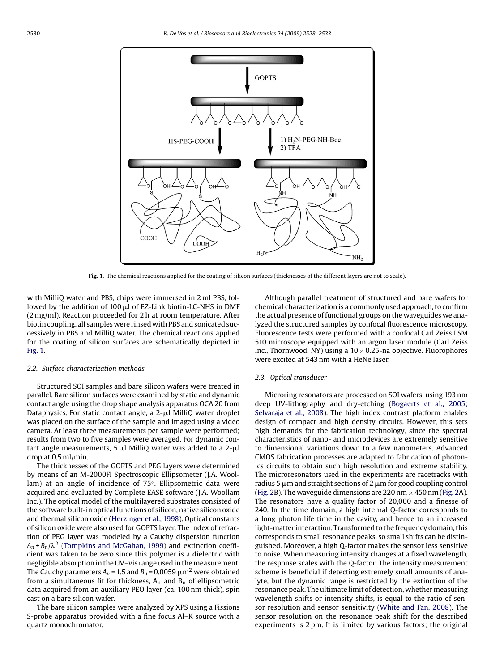<span id="page-2-0"></span>

**Fig. 1.** The chemical reactions applied for the coating of silicon surfaces (thicknesses of the different layers are not to scale).

with MilliQ water and PBS, chips were immersed in 2 ml PBS, followed by the addition of  $100 \mu l$  of EZ-Link biotin-LC-NHS in DMF (2 mg/ml). Reaction proceeded for 2 h at room temperature. After biotin coupling, all samples were rinsed with PBS and sonicated successively in PBS and MilliQ water. The chemical reactions applied for the coating of silicon surfaces are schematically depicted in Fig. 1.

#### *2.2. Surface characterization methods*

Structured SOI samples and bare silicon wafers were treated in parallel. Bare silicon surfaces were examined by static and dynamic contact angle using the drop shape analysis apparatus OCA 20 from Dataphysics. For static contact angle, a  $2-\mu l$  MilliQ water droplet was placed on the surface of the sample and imaged using a video camera. At least three measurements per sample were performed; results from two to five samples were averaged. For dynamic contact angle measurements,  $5 \mu l$  MilliQ water was added to a  $2-\mu l$ drop at 0.5 ml/min.

The thicknesses of the GOPTS and PEG layers were determined by means of an M-2000FI Spectroscopic Ellipsometer (J.A. Woollam) at an angle of incidence of 75◦. Ellipsometric data were acquired and evaluated by Complete EASE software (J.A. Woollam Inc.). The optical model of the multilayered substrates consisted of the software built-in optical functions of silicon, native silicon oxide and thermal silicon oxide ([Herzinger et al., 1998\).](#page-5-0) Optical constants of silicon oxide were also used for GOPTS layer. The index of refraction of PEG layer was modeled by a Cauchy dispersion function  $A_n$ + $B_n/\lambda^2$  ([Tompkins and McGahan, 1999\)](#page-5-0) and extinction coefficient was taken to be zero since this polymer is a dielectric with negligible absorption in the UV–vis range used in the measurement. The Cauchy parameters  $A_n$  = 1.5 and  $B_n$  = 0.0059  $\mu$ m<sup>2</sup> were obtained from a simultaneous fit for thickness,  $A_n$  and  $B_n$  of ellipsometric data acquired from an auxiliary PEO layer (ca. 100 nm thick), spin cast on a bare silicon wafer.

The bare silicon samples were analyzed by XPS using a Fissions S-probe apparatus provided with a fine focus Al–K source with a quartz monochromator.

Although parallel treatment of structured and bare wafers for chemical characterization is a commonly used approach, to confirm the actual presence of functional groups on the waveguides we analyzed the structured samples by confocal fluorescence microscopy. Fluorescence tests were performed with a confocal Carl Zeiss LSM 510 microscope equipped with an argon laser module (Carl Zeiss Inc., Thornwood, NY) using a  $10 \times 0.25$ -na objective. Fluorophores were excited at 543 nm with a HeNe laser.

#### *2.3. Optical transducer*

Microring resonators are processed on SOI wafers, using 193 nm deep UV-lithography and dry-etching ([Bogaerts et al., 2005;](#page-5-0) [Selvaraja et al., 2008\).](#page-5-0) The high index contrast platform enables design of compact and high density circuits. However, this sets high demands for the fabrication technology, since the spectral characteristics of nano- and microdevices are extremely sensitive to dimensional variations down to a few nanometers. Advanced CMOS fabrication processes are adapted to fabrication of photonics circuits to obtain such high resolution and extreme stability. The microresonators used in the experiments are racetracks with radius 5  $\mu$ m and straight sections of 2  $\mu$ m for good coupling control [\(Fig. 2B\)](#page-3-0). The waveguide dimensions are 220 nm  $\times$  450 nm [\(Fig. 2A\)](#page-3-0). The resonators have a quality factor of 20,000 and a finesse of 240. In the time domain, a high internal Q-factor corresponds to a long photon life time in the cavity, and hence to an increased light-matter interaction. Transformed to the frequency domain, this corresponds to small resonance peaks, so small shifts can be distinguished. Moreover, a high Q-factor makes the sensor less sensitive to noise. When measuring intensity changes at a fixed wavelength, the response scales with the Q-factor. The intensity measurement scheme is beneficial if detecting extremely small amounts of analyte, but the dynamic range is restricted by the extinction of the resonance peak. The ultimate limit of detection, whether measuring wavelength shifts or intensity shifts, is equal to the ratio of sensor resolution and sensor sensitivity [\(White and Fan, 2008\).](#page-5-0) The sensor resolution on the resonance peak shift for the described experiments is 2 pm. It is limited by various factors; the original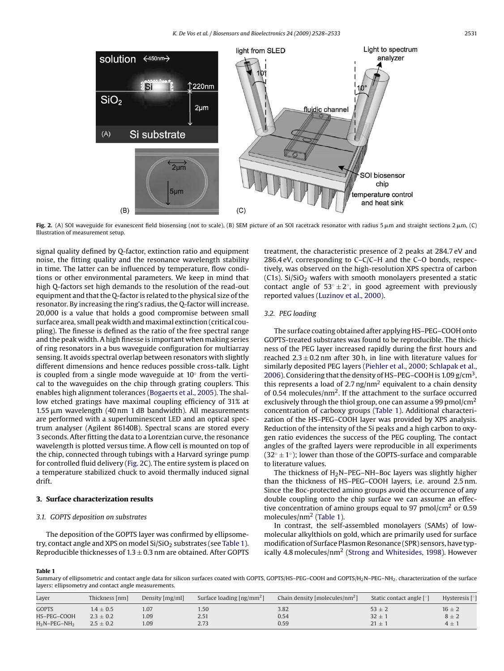<span id="page-3-0"></span>

Fig. 2. (A) SOI waveguide for evanescent field biosensing (not to scale), (B) SEM picture of an SOI racetrack resonator with radius 5  $\mu$ m and straight sections 2  $\mu$ m, (C) Illustration of measurement setup.

signal quality defined by Q-factor, extinction ratio and equipment noise, the fitting quality and the resonance wavelength stability in time. The latter can be influenced by temperature, flow conditions or other environmental parameters. We keep in mind that high Q-factors set high demands to the resolution of the read-out equipment and that the Q-factor is related to the physical size of the resonator. By increasing the ring's radius, the Q-factor will increase. 20,000 is a value that holds a good compromise between small surface area, small peak width and maximal extinction (critical coupling). The finesse is defined as the ratio of the free spectral range and the peak width. A high finesse is important when making series of ring resonators in a bus waveguide configuration for multiarray sensing. It avoids spectral overlap between resonators with slightly different dimensions and hence reduces possible cross-talk. Light is coupled from a single mode waveguide at 10◦ from the vertical to the waveguides on the chip through grating couplers. This enables high alignment tolerances [\(Bogaerts et al., 2005\).](#page-5-0) The shallow etched gratings have maximal coupling efficiency of 31% at  $1.55 \mu m$  wavelength (40 nm 1 dB bandwidth). All measurements are performed with a superluminescent LED and an optical spectrum analyser (Agilent 86140B). Spectral scans are stored every 3 seconds. After fitting the data to a Lorentzian curve, the resonance wavelength is plotted versus time. A flow cell is mounted on top of the chip, connected through tubings with a Harvard syringe pump for controlled fluid delivery (Fig. 2C). The entire system is placed on a temperature stabilized chuck to avoid thermally induced signal drift.

## **3. Surface characterization results**

#### *3.1. GOPTS deposition on substrates*

The deposition of the GOPTS layer was confirmed by ellipsometry, contact angle and XPS on model  $Si/SiO<sub>2</sub>$  substrates (see Table 1). Reproducible thicknesses of  $1.3 \pm 0.3$  nm are obtained. After GOPTS treatment, the characteristic presence of 2 peaks at 284.7 eV and 286.4 eV, corresponding to C–C/C–H and the C–O bonds, respectively, was observed on the high-resolution XPS spectra of carbon (C1s). Si/SiO<sub>2</sub> wafers with smooth monolayers presented a static contact angle of  $53^\circ \pm 2^\circ$ , in good agreement with previously reported values ([Luzinov et al., 2000\).](#page-5-0)

### *3.2. PEG loading*

The surface coating obtained after applying HS–PEG–COOH onto GOPTS-treated substrates was found to be reproducible. The thickness of the PEG layer increased rapidly during the first hours and reached  $2.3 \pm 0.2$  nm after 30 h, in line with literature values for similarly deposited PEG layers [\(Piehler et al., 2000; Schlapak et al.,](#page-5-0) [2006\).](#page-5-0) Considering that the density of HS-PEG-COOH is  $1.09$  g/cm<sup>3</sup>, this represents a load of 2.7 ng/nm<sup>2</sup> equivalent to a chain density of 0.54 molecules/nm2. If the attachment to the surface occurred exclusively through the thiol group, one can assume a 99 pmol/cm<sup>2</sup> concentration of carboxy groups (Table 1). Additional characterization of the HS–PEG–COOH layer was provided by XPS analysis. Reduction of the intensity of the Si peaks and a high carbon to oxygen ratio evidences the success of the PEG coupling. The contact angles of the grafted layers were reproducible in all experiments  $(32° ± 1°)$ ; lower than those of the GOPTS-surface and comparable to literature values.

The thickness of  $H_2N-PEG-NH- Boc$  layers was slightly higher than the thickness of HS–PEG–COOH layers, i.e. around 2.5 nm. Since the Boc-protected amino groups avoid the occurrence of any double coupling onto the chip surface we can assume an effective concentration of amino groups equal to 97 pmol/ $\text{cm}^2$  or 0.59 molecules/nm<sup>2</sup> (Table 1).

In contrast, the self-assembled monolayers (SAMs) of lowmolecular alkylthiols on gold, which are primarily used for surface modification of Surface Plasmon Resonance (SPR) sensors, have typically 4.8 molecules/ $nm^2$  ([Strong and Whitesides, 1998\).](#page-5-0) However

**Table 1**

Summary of ellipsometric and contact angle data for silicon surfaces coated with GOPTS, GOPTS/HS-PEG-COOH and GOPTS/H<sub>2</sub>N-PEG-NH<sub>2</sub>. characterization of the surface layers: ellipsometry and contact angle measurements.

| Layer           | Thickness [nm] | Density [mg/ml] | Surface loading $\lfloor$ ng/mm <sup>2</sup> $\rfloor$ | Chain density [molecules/nm <sup>2</sup> ] | Static contact angle [°] | Hysteresis $\lceil \circ \rceil$ |
|-----------------|----------------|-----------------|--------------------------------------------------------|--------------------------------------------|--------------------------|----------------------------------|
| <b>GOPTS</b>    | $1.4 \pm 0.5$  | 1.07            | 1.50                                                   | 3.82                                       | $53 \pm 2$               | $16 \pm 2$                       |
| HS-PEG-COOH     | $2.3 \pm 0.2$  | .09             | 2.51                                                   | 0.54                                       | $32 \pm$                 | $8 \pm 2$                        |
| $H_2N-PEG-NH_2$ | $2.5 \pm 0.2$  | 1.09            | 2.73                                                   | 0.59                                       | $21 \pm$                 | $4 \pm 1$                        |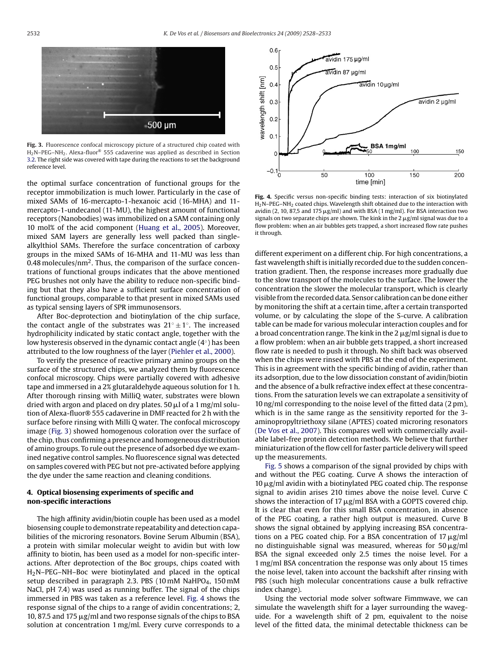<span id="page-4-0"></span>

**Fig. 3.** Fluorescence confocal microscopy picture of a structured chip coated with H2N–PEG–NH2. Alexa-fluor® 555 cadaverine was applied as described in Section [3.2. T](#page-3-0)he right side was covered with tape during the reactions to set the background reference level.

the optimal surface concentration of functional groups for the receptor immobilization is much lower. Particularly in the case of mixed SAMs of 16-mercapto-1-hexanoic acid (16-MHA) and 11 mercapto-1-undecanol (11-MU), the highest amount of functional receptors (Nanobodies) was immobilized on a SAM containing only 10 mol% of the acid component ([Huang et al., 2005\).](#page-5-0) Moreover, mixed SAM layers are generally less well packed than singlealkylthiol SAMs. Therefore the surface concentration of carboxy groups in the mixed SAMs of 16-MHA and 11-MU was less than 0.48 molecules/ $nm^2$ . Thus, the comparison of the surface concentrations of functional groups indicates that the above mentioned PEG brushes not only have the ability to reduce non-specific binding but that they also have a sufficient surface concentration of functional groups, comparable to that present in mixed SAMs used as typical sensing layers of SPR immunosensors.

After Boc-deprotection and biotinylation of the chip surface, the contact angle of the substrates was  $21° ± 1°$ . The increased hydrophilicity indicated by static contact angle, together with the low hysteresis observed in the dynamic contact angle (4◦) has been attributed to the low roughness of the layer [\(Piehler et al., 2000\).](#page-5-0)

To verify the presence of reactive primary amino groups on the surface of the structured chips, we analyzed them by fluorescence confocal microscopy. Chips were partially covered with adhesive tape and immersed in a 2% glutaraldehyde aqueous solution for 1 h. After thorough rinsing with MilliQ water, substrates were blown dried with argon and placed on dry plates. 50  $\mu$ l of a 1 mg/ml solution of Alexa-fluor® 555 cadaverine in DMF reacted for 2 h with the surface before rinsing with Milli Q water. The confocal microscopy image (Fig. 3) showed homogenous coloration over the surface of the chip, thus confirming a presence and homogeneous distribution of amino groups. To rule out the presence of adsorbed dye we examined negative control samples. No fluorescence signal was detected on samples covered with PEG but not pre-activated before applying the dye under the same reaction and cleaning conditions.

#### **4. Optical biosensing experiments of specific and non-specific interactions**

The high affinity avidin/biotin couple has been used as a model biosensing couple to demonstrate repeatability and detection capabilities of the microring resonators. Bovine Serum Albumin (BSA), a protein with similar molecular weight to avidin but with low affinity to biotin, has been used as a model for non-specific interactions. After deprotection of the Boc groups, chips coated with H2N–PEG–NH–Boc were biotinylated and placed in the optical setup described in paragraph 2.3. PBS (10 mM NaHPO<sub>4</sub>, 150 mM NaCl, pH 7.4) was used as running buffer. The signal of the chips immersed in PBS was taken as a reference level. Fig. 4 shows the response signal of the chips to a range of avidin concentrations; 2, 10, 87.5 and 175  $\mu$ g/ml and two response signals of the chips to BSA solution at concentration 1 mg/ml. Every curve corresponds to a



**Fig. 4.** Specific versus non-specific binding tests: interaction of six biotinylated H2N–PEG–NH2 coated chips. Wavelength shift obtained due to the interaction with avidin (2, 10, 87,5 and 175  $\mu$ g/ml) and with BSA (1 mg/ml). For BSA interaction two signals on two separate chips are shown. The kink in the  $2 \mu g$ /ml signal was due to a flow problem: when an air bubbles gets trapped, a short increased flow rate pushes it through.

different experiment on a different chip. For high concentrations, a fast wavelength shift is initially recorded due to the sudden concentration gradient. Then, the response increases more gradually due to the slow transport of the molecules to the surface. The lower the concentration the slower the molecular transport, which is clearly visible from the recorded data. Sensor calibration can be done either by monitoring the shift at a certain time, after a certain transported volume, or by calculating the slope of the S-curve. A calibration table can be made for various molecular interaction couples and for a broad concentration range. The kink in the  $2 \mu g/ml$  signal is due to a flow problem: when an air bubble gets trapped, a short increased flow rate is needed to push it through. No shift back was observed when the chips were rinsed with PBS at the end of the experiment. This is in agreement with the specific binding of avidin, rather than its adsorption, due to the low dissociation constant of avidin/biotin and the absence of a bulk refractive index effect at these concentrations. From the saturation levels we can extrapolate a sensitivity of 10 ng/ml corresponding to the noise level of the fitted data (2 pm), which is in the same range as the sensitivity reported for the 3 aminopropyltriethoxy silane (APTES) coated microring resonators [\(De Vos et al., 2007\).](#page-5-0) This compares well with commercially available label-free protein detection methods. We believe that further miniaturization of the flow cell for faster particle delivery will speed up the measurements.

[Fig. 5](#page-5-0) shows a comparison of the signal provided by chips with and without the PEG coating. Curve A shows the interaction of  $10 \mu$ g/ml avidin with a biotinylated PEG coated chip. The response signal to avidin arises 210 times above the noise level. Curve C shows the interaction of 17  $\mu$ g/ml BSA with a GOPTS covered chip. It is clear that even for this small BSA concentration, in absence of the PEG coating, a rather high output is measured. Curve B shows the signal obtained by applying increasing BSA concentrations on a PEG coated chip. For a BSA concentration of  $17 \mu g/ml$ no distinguishable signal was measured, whereas for  $50 \mu g/ml$ BSA the signal exceeded only 2.5 times the noise level. For a 1 mg/ml BSA concentration the response was only about 15 times the noise level, taken into account the backshift after rinsing with PBS (such high molecular concentrations cause a bulk refractive index change).

Using the vectorial mode solver software Fimmwave, we can simulate the wavelength shift for a layer surrounding the waveguide. For a wavelength shift of 2 pm, equivalent to the noise level of the fitted data, the minimal detectable thickness can be